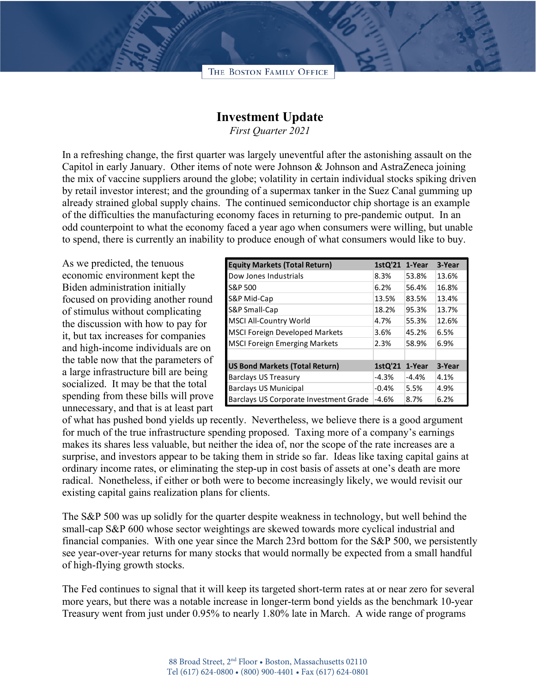## THE BOSTON FAMILY OFFICE

## **Investment Update**

*First Quarter 2021*

In a refreshing change, the first quarter was largely uneventful after the astonishing assault on the Capitol in early January. Other items of note were Johnson & Johnson and AstraZeneca joining the mix of vaccine suppliers around the globe; volatility in certain individual stocks spiking driven by retail investor interest; and the grounding of a supermax tanker in the Suez Canal gumming up already strained global supply chains. The continued semiconductor chip shortage is an example of the difficulties the manufacturing economy faces in returning to pre-pandemic output. In an odd counterpoint to what the economy faced a year ago when consumers were willing, but unable to spend, there is currently an inability to produce enough of what consumers would like to buy.

As we predicted, the tenuous economic environment kept the Biden administration initially focused on providing another round of stimulus without complicating the discussion with how to pay for it, but tax increases for companies and high-income individuals are on the table now that the parameters of a large infrastructure bill are being socialized. It may be that the total spending from these bills will prove unnecessary, and that is at least part

| <b>Equity Markets (Total Return)</b>   | 1stQ'21 | 1-Year  | 3-Year |
|----------------------------------------|---------|---------|--------|
| Dow Jones Industrials                  | 8.3%    | 53.8%   | 13.6%  |
| S&P 500                                | 6.2%    | 56.4%   | 16.8%  |
| S&P Mid-Cap                            | 13.5%   | 83.5%   | 13.4%  |
| S&P Small-Cap                          | 18.2%   | 95.3%   | 13.7%  |
| MSCI All-Country World                 | 4.7%    | 55.3%   | 12.6%  |
| <b>MSCI Foreign Developed Markets</b>  | 3.6%    | 45.2%   | 6.5%   |
| <b>MSCI Foreign Emerging Markets</b>   | 2.3%    | 58.9%   | 6.9%   |
|                                        |         |         |        |
| <b>US Bond Markets (Total Return)</b>  | 1stQ'21 | 1-Year  | 3-Year |
| <b>Barclays US Treasury</b>            | $-4.3%$ | $-4.4%$ | 4.1%   |
| <b>Barclays US Municipal</b>           | $-0.4%$ | 5.5%    | 4.9%   |
| Barclays US Corporate Investment Grade | $-4.6%$ | 8.7%    | 6.2%   |

of what has pushed bond yields up recently. Nevertheless, we believe there is a good argument for much of the true infrastructure spending proposed. Taxing more of a company's earnings makes its shares less valuable, but neither the idea of, nor the scope of the rate increases are a surprise, and investors appear to be taking them in stride so far. Ideas like taxing capital gains at ordinary income rates, or eliminating the step-up in cost basis of assets at one's death are more radical. Nonetheless, if either or both were to become increasingly likely, we would revisit our existing capital gains realization plans for clients.

The S&P 500 was up solidly for the quarter despite weakness in technology, but well behind the small-cap S&P 600 whose sector weightings are skewed towards more cyclical industrial and financial companies. With one year since the March 23rd bottom for the S&P 500, we persistently see year-over-year returns for many stocks that would normally be expected from a small handful of high-flying growth stocks.

The Fed continues to signal that it will keep its targeted short-term rates at or near zero for several more years, but there was a notable increase in longer-term bond yields as the benchmark 10-year Treasury went from just under 0.95% to nearly 1.80% late in March. A wide range of programs